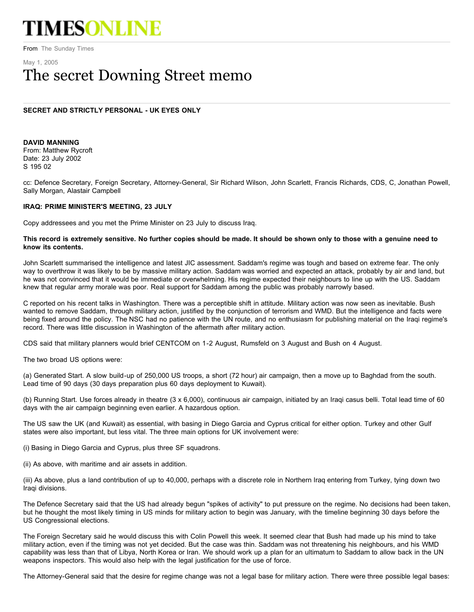# TIMESONLINE

From The Sunday Times

# May 1, 2005 The secret Downing Street memo

# **SECRET AND STRICTLY PERSONAL - UK EYES ONLY**

**DAVID MANNING**  From: Matthew Rycroft Date: 23 July 2002 S 195 02

cc: Defence Secretary, Foreign Secretary, Attorney-General, Sir Richard Wilson, John Scarlett, Francis Richards, CDS, C, Jonathan Powell, Sally Morgan, Alastair Campbell

## **IRAQ: PRIME MINISTER'S MEETING, 23 JULY**

Copy addressees and you met the Prime Minister on 23 July to discuss Iraq.

### **This record is extremely sensitive. No further copies should be made. It should be shown only to those with a genuine need to know its contents.**

John Scarlett summarised the intelligence and latest JIC assessment. Saddam's regime was tough and based on extreme fear. The only way to overthrow it was likely to be by massive military action. Saddam was worried and expected an attack, probably by air and land, but he was not convinced that it would be immediate or overwhelming. His regime expected their neighbours to line up with the US. Saddam knew that regular army morale was poor. Real support for Saddam among the public was probably narrowly based.

C reported on his recent talks in Washington. There was a perceptible shift in attitude. Military action was now seen as inevitable. Bush wanted to remove Saddam, through military action, justified by the conjunction of terrorism and WMD. But the intelligence and facts were being fixed around the policy. The NSC had no patience with the UN route, and no enthusiasm for publishing material on the Iraqi regime's record. There was little discussion in Washington of the aftermath after military action.

CDS said that military planners would brief CENTCOM on 1-2 August, Rumsfeld on 3 August and Bush on 4 August.

The two broad US options were:

(a) Generated Start. A slow build-up of 250,000 US troops, a short (72 hour) air campaign, then a move up to Baghdad from the south. Lead time of 90 days (30 days preparation plus 60 days deployment to Kuwait).

(b) Running Start. Use forces already in theatre (3 x 6,000), continuous air campaign, initiated by an Iraqi casus belli. Total lead time of 60 days with the air campaign beginning even earlier. A hazardous option.

The US saw the UK (and Kuwait) as essential, with basing in Diego Garcia and Cyprus critical for either option. Turkey and other Gulf states were also important, but less vital. The three main options for UK involvement were:

(i) Basing in Diego Garcia and Cyprus, plus three SF squadrons.

(ii) As above, with maritime and air assets in addition.

(iii) As above, plus a land contribution of up to 40,000, perhaps with a discrete role in Northern Iraq entering from Turkey, tying down two Iraqi divisions.

The Defence Secretary said that the US had already begun "spikes of activity" to put pressure on the regime. No decisions had been taken, but he thought the most likely timing in US minds for military action to begin was January, with the timeline beginning 30 days before the US Congressional elections.

The Foreign Secretary said he would discuss this with Colin Powell this week. It seemed clear that Bush had made up his mind to take military action, even if the timing was not yet decided. But the case was thin. Saddam was not threatening his neighbours, and his WMD capability was less than that of Libya, North Korea or Iran. We should work up a plan for an ultimatum to Saddam to allow back in the UN weapons inspectors. This would also help with the legal justification for the use of force.

The Attorney-General said that the desire for regime change was not a legal base for military action. There were three possible legal bases: